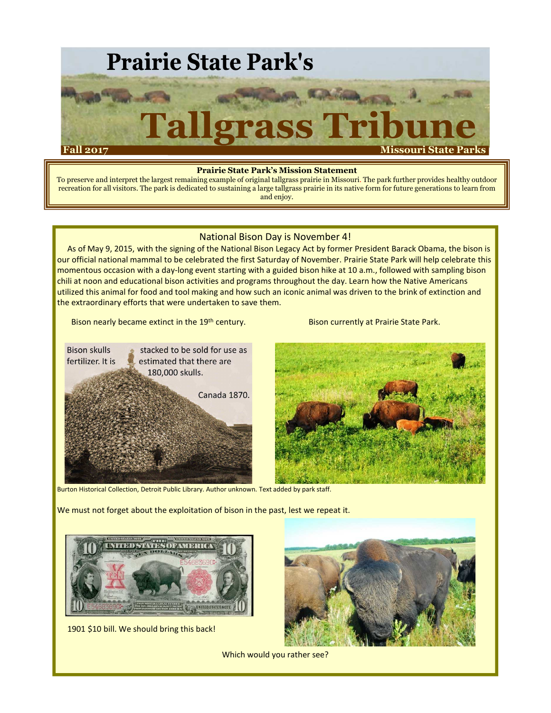

#### **Prairie State Park's Mission Statement**

To preserve and interpret the largest remaining example of original tallgrass prairie in Missouri. The park further provides healthy outdoor recreation for all visitors. The park is dedicated to sustaining a large tallgrass prairie in its native form for future generations to learn from and enjoy.

#### National Bison Day is November 4!

As of May 9, 2015, with the signing of the National Bison Legacy Act by former President Barack Obama, the bison is our official national mammal to be celebrated the first Saturday of November. Prairie State Park will help celebrate this momentous occasion with a day-long event starting with a guided bison hike at 10 a.m., followed with sampling bison chili at noon and educational bison activities and programs throughout the day. Learn how the Native Americans utilized this animal for food and tool making and how such an iconic animal was driven to the brink of extinction and the extraordinary efforts that were undertaken to save them.

Bison nearly became extinct in the 19<sup>th</sup> century. Bison currently at Prairie State Park.



Burton Historical Collection, Detroit Public Library. Author unknown. Text added by park staff.

We must not forget about the exploitation of bison in the past, lest we repeat it.



1901 \$10 bill. We should bring this back!



Which would you rather see?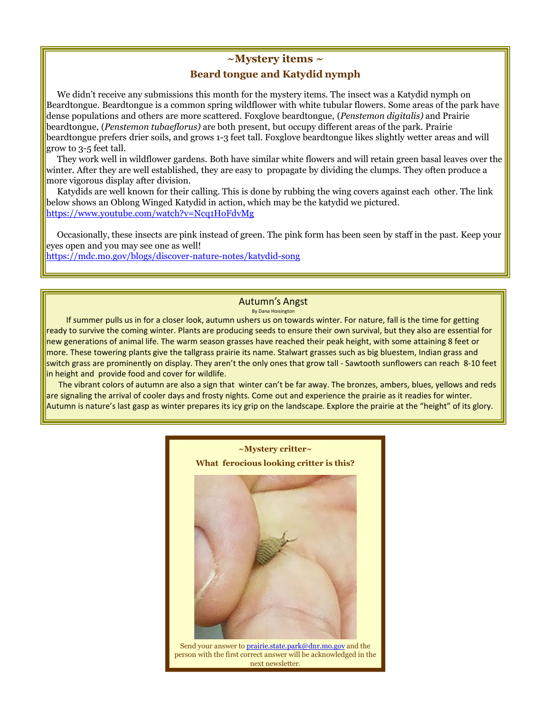#### **~Mystery items ~**

### **Beard tongue and Katydid nymph**

We didn't receive any submissions this month for the mystery items. The insect was a Katydid nymph on Beardtongue. Beardtongue is a common spring wildflower with white tubular flowers. Some areas of the park have dense populations and others are more scattered. Foxglove beardtongue, (*Penstemon digitalis)* and Prairie beardtongue, (*Penstemon tubaeflorus)* are both present, but occupy different areas of the park. Prairie beardtongue prefers drier soils, and grows 1-3 feet tall. Foxglove beardtongue likes slightly wetter areas and will grow to 3-5 feet tall.

They work well in wildflower gardens. Both have similar white flowers and will retain green basal leaves over the winter. After they are well established, they are easy to propagate by dividing the clumps. They often produce a more vigorous display after division.

Katydids are well known for their calling. This is done by rubbing the wing covers against each other. The link below shows an Oblong Winged Katydid in action, which may be the katydid we pictured. https://www.youtube.com/watch?v=Ncq1HoFdvMg

Occasionally, these insects are pink instead of green. The pink form has been seen by staff in the past. Keep your eyes open and you may see one as well!

https://mdc.mo.gov/blogs/discover-nature-notes/katydid-song

#### Autumn's Angst

By Dana Hoisington

If summer pulls us in for a closer look, autumn ushers us on towards winter. For nature, fall is the time for getting ready to survive the coming winter. Plants are producing seeds to ensure their own survival, but they also are essential for new generations of animal life. The warm season grasses have reached their peak height, with some attaining 8 feet or more. These towering plants give the tallgrass prairie its name. Stalwart grasses such as big bluestem, Indian grass and switch grass are prominently on display. They aren't the only ones that grow tall - Sawtooth sunflowers can reach 8-10 feet in height and provide food and cover for wildlife.

The vibrant colors of autumn are also a sign that winter can't be far away. The bronzes, ambers, blues, yellows and reds are signaling the arrival of cooler days and frosty nights. Come out and experience the prairie as it readies for winter. Autumn is nature's last gasp as winter prepares its icy grip on the landscape. Explore the prairie at the "height" of its glory.



person with the first correct answer will be acknowledged in the next newsletter.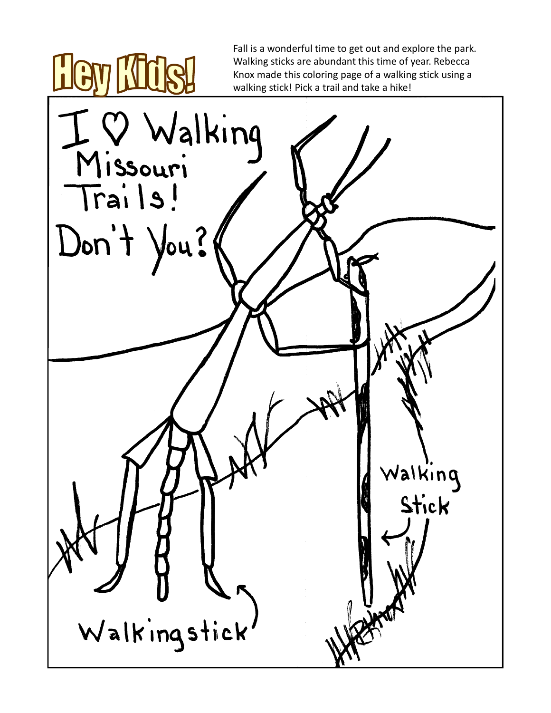Fall is a wonderful time to get out and explore the park. Walking sticks are abundant this time of year. Rebecca Knox made this coloring page of a walking stick using a walking stick! Pick a trail and take a hike!